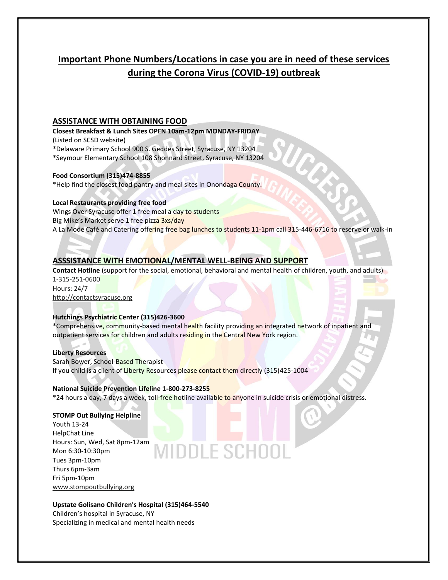# **Important Phone Numbers/Locations in case you are in need of these services during the Corona Virus (COVID-19) outbreak**

## **ASSISTANCE WITH OBTAINING FOOD**

**Closest Breakfast & Lunch Sites OPEN 10am-12pm MONDAY-FRIDAY**  (Listed on SCSD website)

\*Delaware Primary School 900 S. Geddes Street, Syracuse, NY 13204 \*Seymour Elementary School 108 Shonnard Street, Syracuse, NY 13204

#### **Food Consortium (315)474-8855**

\*Help find the closest food pantry and meal sites in Onondaga County.

#### **Local Restaurants providing free food**

Wings Over Syracuse offer 1 free meal a day to students Big Mike's Market serve 1 free pizza 3xs/day A La Mode Café and Catering offering free bag lunches to students 11-1pm call 315-446-6716 to reserve or walk-in

# **ASSSISTANCE WITH EMOTIONAL/MENTAL WELL-BEING AND SUPPORT**

**Contact Hotline** (support for the social, emotional, behavioral and mental health of children, youth, and adults) 1-315-251-0600 Hours: 24/7 [http://contactsyracuse.org](http://contactsyracuse.org/)

## **Hutchings Psychiatric Center (315)426-3600**

\*Comprehensive, community-based mental health facility providing an integrated network of inpatient and outpatient services for children and adults residing in the Central New York region.

#### **Liberty Resources**

Sarah Bower, School-Based Therapist If you child is a client of Liberty Resources please contact them directly (315)425-1004

#### **National Suicide Prevention Lifeline 1-800-273-8255**

\*24 hours a day, 7 days a week, toll-free hotline available to anyone in suicide crisis or emotional distress.

AIDDLE SCHOO

#### **STOMP Out Bullying Helpline**

Youth 13-24 HelpChat Line Hours: Sun, Wed, Sat 8pm-12am Mon 6:30-10:30pm Tues 3pm-10pm Thurs 6pm-3am Fri 5pm-10pm [www.stompoutbullying.org](http://www.stompoutbullying.org/)

#### **Upstate Golisano Children's Hospital (315)464-5540**

Children's hospital in Syracuse, NY Specializing in medical and mental health needs